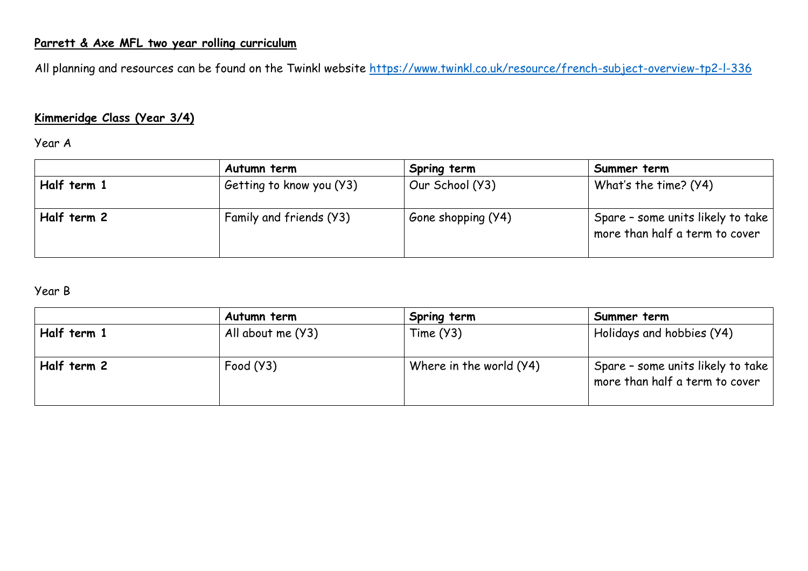## **Parrett & Axe MFL two year rolling curriculum**

All planning and resources can be found on the Twinkl website<https://www.twinkl.co.uk/resource/french-subject-overview-tp2-l-336>

## **Kimmeridge Class (Year 3/4)**

#### Year A

|             | Autumn term              | Spring term        | Summer term                                                         |
|-------------|--------------------------|--------------------|---------------------------------------------------------------------|
| Half term 1 | Getting to know you (Y3) | Our School (Y3)    | What's the time? (Y4)                                               |
| Half term 2 | Family and friends (Y3)  | Gone shopping (Y4) | Spare - some units likely to take<br>more than half a term to cover |

## Year B

|             | Autumn term       | Spring term             | Summer term                                                         |
|-------------|-------------------|-------------------------|---------------------------------------------------------------------|
| Half term 1 | All about me (Y3) | Time (Y3)               | Holidays and hobbies (Y4)                                           |
| Half term 2 | Food (Y3)         | Where in the world (Y4) | Spare - some units likely to take<br>more than half a term to cover |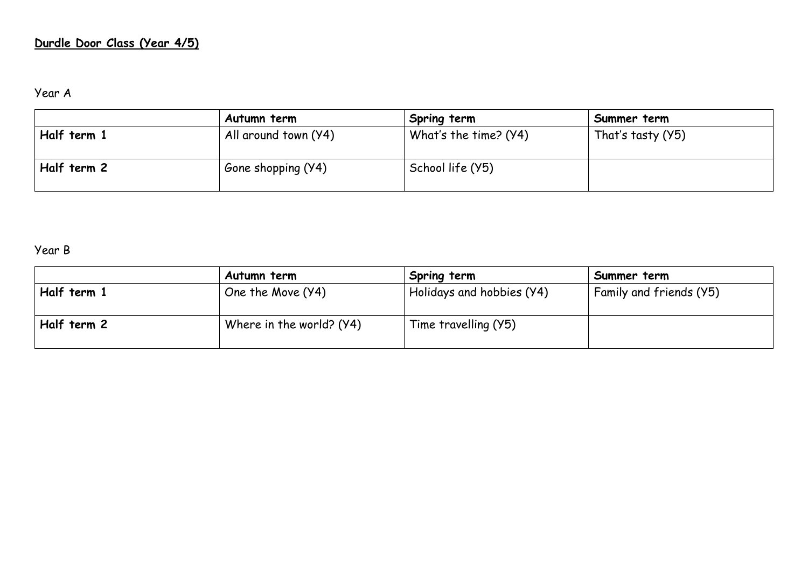## **Durdle Door Class (Year 4/5)**

Year A

|             | Autumn term          | Spring term           | Summer term       |
|-------------|----------------------|-----------------------|-------------------|
| Half term 1 | All around town (Y4) | What's the time? (Y4) | That's tasty (Y5) |
| Half term 2 | Gone shopping (Y4)   | School life (Y5)      |                   |

Year B

|             | Autumn term              | Spring term               | Summer term             |
|-------------|--------------------------|---------------------------|-------------------------|
| Half term 1 | One the Move (Y4)        | Holidays and hobbies (Y4) | Family and friends (Y5) |
| Half term 2 | Where in the world? (Y4) | Time travelling (Y5)      |                         |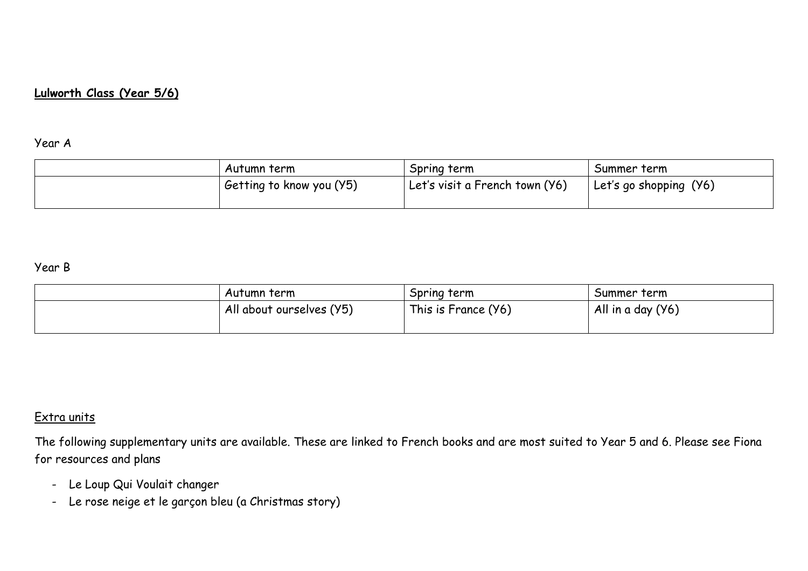## **Lulworth Class (Year 5/6)**

#### Year A

| Autumn term              | Spring term                    | Summer term            |
|--------------------------|--------------------------------|------------------------|
| Getting to know you (Y5) | Let's visit a French town (Y6) | Let's go shopping (Y6) |
|                          |                                |                        |

### Year B

| Autumn term              | Spring term         | Summer term       |
|--------------------------|---------------------|-------------------|
| All about ourselves (Y5) | This is France (Y6) | All in a day (Y6) |
|                          |                     |                   |

## Extra units

The following supplementary units are available. These are linked to French books and are most suited to Year 5 and 6. Please see Fiona for resources and plans

- Le Loup Qui Voulait changer
- Le rose neige et le garçon bleu (a Christmas story)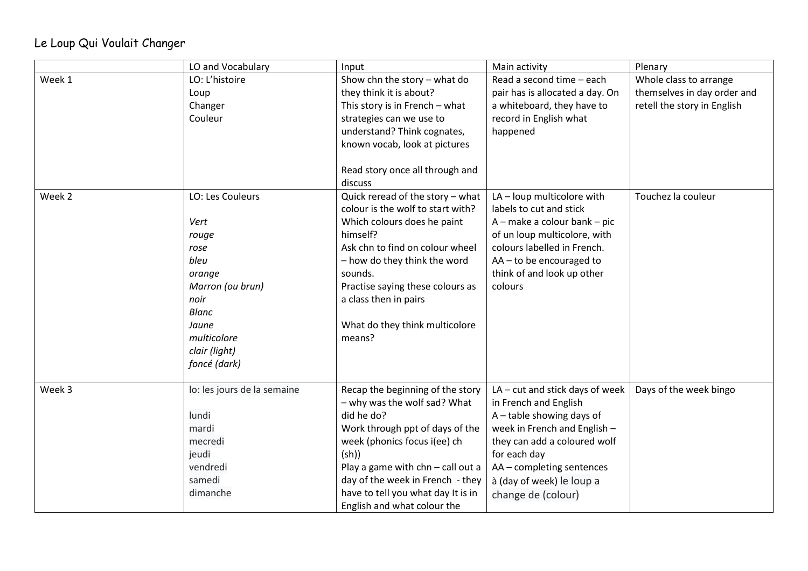# Le Loup Qui Voulait Changer

|        | LO and Vocabulary                                                                                                                                         | Input                                                                                                                                                                                                                                                                                                    | Main activity                                                                                                                                                                                                                                         | Plenary                                                                              |
|--------|-----------------------------------------------------------------------------------------------------------------------------------------------------------|----------------------------------------------------------------------------------------------------------------------------------------------------------------------------------------------------------------------------------------------------------------------------------------------------------|-------------------------------------------------------------------------------------------------------------------------------------------------------------------------------------------------------------------------------------------------------|--------------------------------------------------------------------------------------|
| Week 1 | LO: L'histoire<br>Loup<br>Changer<br>Couleur                                                                                                              | Show chn the story $-$ what do<br>they think it is about?<br>This story is in French - what<br>strategies can we use to<br>understand? Think cognates,<br>known vocab, look at pictures<br>Read story once all through and<br>discuss                                                                    | Read a second time - each<br>pair has is allocated a day. On<br>a whiteboard, they have to<br>record in English what<br>happened                                                                                                                      | Whole class to arrange<br>themselves in day order and<br>retell the story in English |
| Week 2 | LO: Les Couleurs<br>Vert<br>rouge<br>rose<br>bleu<br>orange<br>Marron (ou brun)<br>noir<br>Blanc<br>Jaune<br>multicolore<br>clair (light)<br>foncé (dark) | Quick reread of the story - what<br>colour is the wolf to start with?<br>Which colours does he paint<br>himself?<br>Ask chn to find on colour wheel<br>- how do they think the word<br>sounds.<br>Practise saying these colours as<br>a class then in pairs<br>What do they think multicolore<br>means?  | LA - loup multicolore with<br>labels to cut and stick<br>A - make a colour bank - pic<br>of un loup multicolore, with<br>colours labelled in French.<br>AA-to be encouraged to<br>think of and look up other<br>colours                               | Touchez la couleur                                                                   |
| Week 3 | lo: les jours de la semaine<br>lundi<br>mardi<br>mecredi<br>jeudi<br>vendredi<br>samedi<br>dimanche                                                       | Recap the beginning of the story<br>- why was the wolf sad? What<br>did he do?<br>Work through ppt of days of the<br>week (phonics focus i(ee) ch<br>(sh))<br>Play a game with chn - call out a<br>day of the week in French - they<br>have to tell you what day It is in<br>English and what colour the | LA - cut and stick days of week<br>in French and English<br>A - table showing days of<br>week in French and English -<br>they can add a coloured wolf<br>for each day<br>AA - completing sentences<br>à (day of week) le loup a<br>change de (colour) | Days of the week bingo                                                               |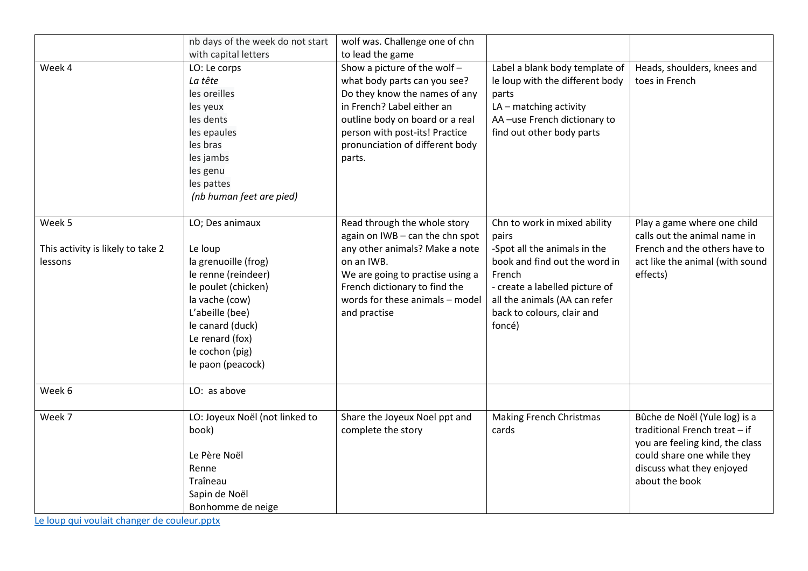|                                   | nb days of the week do not start | wolf was. Challenge one of chn   |                                 |                                 |
|-----------------------------------|----------------------------------|----------------------------------|---------------------------------|---------------------------------|
|                                   | with capital letters             | to lead the game                 |                                 |                                 |
| Week 4                            | LO: Le corps                     | Show a picture of the wolf-      | Label a blank body template of  | Heads, shoulders, knees and     |
|                                   | La tête                          | what body parts can you see?     | le loup with the different body | toes in French                  |
|                                   | les oreilles                     | Do they know the names of any    | parts                           |                                 |
|                                   | les yeux                         | in French? Label either an       | LA - matching activity          |                                 |
|                                   | les dents                        | outline body on board or a real  | AA-use French dictionary to     |                                 |
|                                   | les epaules                      | person with post-its! Practice   | find out other body parts       |                                 |
|                                   | les bras                         | pronunciation of different body  |                                 |                                 |
|                                   | les jambs                        | parts.                           |                                 |                                 |
|                                   | les genu                         |                                  |                                 |                                 |
|                                   | les pattes                       |                                  |                                 |                                 |
|                                   | (nb human feet are pied)         |                                  |                                 |                                 |
|                                   |                                  |                                  |                                 |                                 |
| Week 5                            | LO; Des animaux                  | Read through the whole story     | Chn to work in mixed ability    | Play a game where one child     |
|                                   |                                  | again on IWB - can the chn spot  | pairs                           | calls out the animal name in    |
| This activity is likely to take 2 | Le loup                          | any other animals? Make a note   | -Spot all the animals in the    | French and the others have to   |
| lessons                           | la grenuoille (frog)             | on an IWB.                       | book and find out the word in   | act like the animal (with sound |
|                                   | le renne (reindeer)              | We are going to practise using a | French                          | effects)                        |
|                                   | le poulet (chicken)              | French dictionary to find the    | - create a labelled picture of  |                                 |
|                                   | la vache (cow)                   | words for these animals - model  | all the animals (AA can refer   |                                 |
|                                   | L'abeille (bee)                  | and practise                     | back to colours, clair and      |                                 |
|                                   | le canard (duck)                 |                                  | foncé)                          |                                 |
|                                   | Le renard (fox)                  |                                  |                                 |                                 |
|                                   | le cochon (pig)                  |                                  |                                 |                                 |
|                                   | le paon (peacock)                |                                  |                                 |                                 |
|                                   |                                  |                                  |                                 |                                 |
| Week 6                            | LO: as above                     |                                  |                                 |                                 |
| Week 7                            | LO: Joyeux Noël (not linked to   | Share the Joyeux Noel ppt and    | <b>Making French Christmas</b>  | Bûche de Noël (Yule log) is a   |
|                                   | book)                            | complete the story               | cards                           | traditional French treat - if   |
|                                   |                                  |                                  |                                 | you are feeling kind, the class |
|                                   | Le Père Noël                     |                                  |                                 | could share one while they      |
|                                   | Renne                            |                                  |                                 | discuss what they enjoyed       |
|                                   | Traîneau                         |                                  |                                 | about the book                  |
|                                   | Sapin de Noël                    |                                  |                                 |                                 |
|                                   |                                  |                                  |                                 |                                 |
|                                   | Bonhomme de neige                |                                  |                                 |                                 |

[Le loup qui voulait changer de couleur.pptx](Le%20loup%20qui%20voulait%20changer%20de%20couleur.pptx)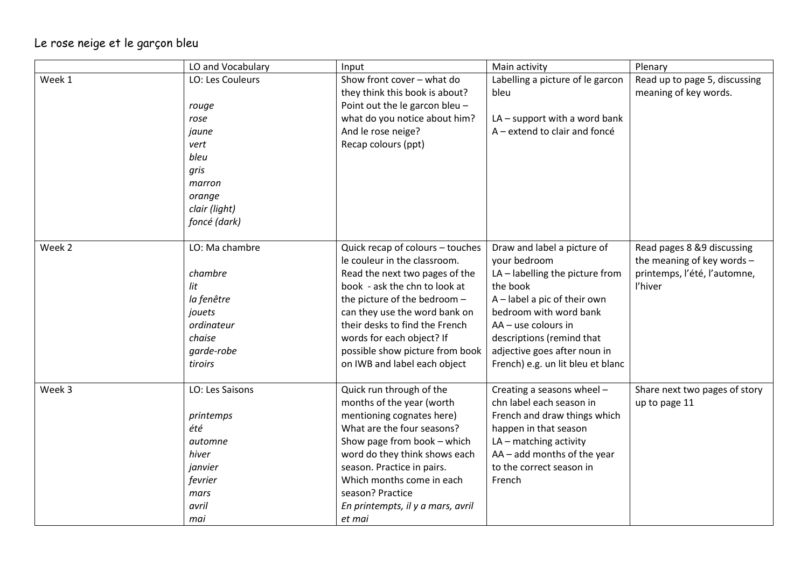# Le rose neige et le garçon bleu

|        | LO and Vocabulary                                                                                                       | Input                                                                                                                                                                                                                                                                                                                                  | Main activity                                                                                                                                                                                                                                                               | Plenary                                                                                             |
|--------|-------------------------------------------------------------------------------------------------------------------------|----------------------------------------------------------------------------------------------------------------------------------------------------------------------------------------------------------------------------------------------------------------------------------------------------------------------------------------|-----------------------------------------------------------------------------------------------------------------------------------------------------------------------------------------------------------------------------------------------------------------------------|-----------------------------------------------------------------------------------------------------|
| Week 1 | LO: Les Couleurs<br>rouge<br>rose<br>jaune<br>vert<br>bleu<br>gris<br>marron<br>orange<br>clair (light)<br>foncé (dark) | Show front cover - what do<br>they think this book is about?<br>Point out the le garcon bleu -<br>what do you notice about him?<br>And le rose neige?<br>Recap colours (ppt)                                                                                                                                                           | Labelling a picture of le garcon<br>bleu<br>$LA$ – support with a word bank<br>A - extend to clair and foncé                                                                                                                                                                | Read up to page 5, discussing<br>meaning of key words.                                              |
| Week 2 | LO: Ma chambre<br>chambre<br>lit<br>la fenêtre<br>jouets<br>ordinateur<br>chaise<br>garde-robe<br>tiroirs               | Quick recap of colours - touches<br>le couleur in the classroom.<br>Read the next two pages of the<br>book - ask the chn to look at<br>the picture of the bedroom -<br>can they use the word bank on<br>their desks to find the French<br>words for each object? If<br>possible show picture from book<br>on IWB and label each object | Draw and label a picture of<br>your bedroom<br>LA-labelling the picture from<br>the book<br>A - label a pic of their own<br>bedroom with word bank<br>AA - use colours in<br>descriptions (remind that<br>adjective goes after noun in<br>French) e.g. un lit bleu et blanc | Read pages 8 &9 discussing<br>the meaning of key words -<br>printemps, l'été, l'automne,<br>l'hiver |
| Week 3 | LO: Les Saisons<br>printemps<br>été<br>automne<br>hiver<br>janvier<br>fevrier<br>mars<br>avril<br>mai                   | Quick run through of the<br>months of the year (worth<br>mentioning cognates here)<br>What are the four seasons?<br>Show page from book - which<br>word do they think shows each<br>season. Practice in pairs.<br>Which months come in each<br>season? Practice<br>En printempts, il y a mars, avril<br>et mai                         | Creating a seasons wheel -<br>chn label each season in<br>French and draw things which<br>happen in that season<br>$LA$ – matching activity<br>AA - add months of the year<br>to the correct season in<br>French                                                            | Share next two pages of story<br>up to page 11                                                      |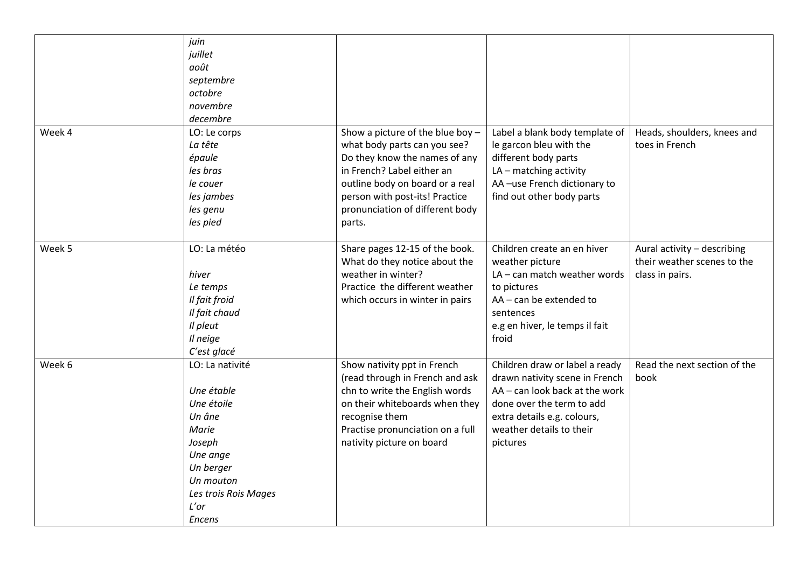|        | juin<br>juillet<br>août<br>septembre<br>octobre<br>novembre<br>decembre                                                                                         |                                                                                                                                                                                                                                                   |                                                                                                                                                                                                        |                                                                               |
|--------|-----------------------------------------------------------------------------------------------------------------------------------------------------------------|---------------------------------------------------------------------------------------------------------------------------------------------------------------------------------------------------------------------------------------------------|--------------------------------------------------------------------------------------------------------------------------------------------------------------------------------------------------------|-------------------------------------------------------------------------------|
| Week 4 | LO: Le corps<br>La tête<br>épaule<br>les bras<br>le couer<br>les jambes<br>les genu<br>les pied                                                                 | Show a picture of the blue boy -<br>what body parts can you see?<br>Do they know the names of any<br>in French? Label either an<br>outline body on board or a real<br>person with post-its! Practice<br>pronunciation of different body<br>parts. | Label a blank body template of<br>le garcon bleu with the<br>different body parts<br>$LA$ – matching activity<br>AA-use French dictionary to<br>find out other body parts                              | Heads, shoulders, knees and<br>toes in French                                 |
| Week 5 | LO: La météo<br>hiver<br>Le temps<br>Il fait froid<br>Il fait chaud<br>Il pleut<br>Il neige<br>C'est glacé                                                      | Share pages 12-15 of the book.<br>What do they notice about the<br>weather in winter?<br>Practice the different weather<br>which occurs in winter in pairs                                                                                        | Children create an en hiver<br>weather picture<br>LA - can match weather words<br>to pictures<br>AA - can be extended to<br>sentences<br>e.g en hiver, le temps il fait<br>froid                       | Aural activity - describing<br>their weather scenes to the<br>class in pairs. |
| Week 6 | LO: La nativité<br>Une étable<br>Une étoile<br>Un âne<br>Marie<br>Joseph<br>Une ange<br>Un berger<br>Un mouton<br>Les trois Rois Mages<br>L'or<br><b>Encens</b> | Show nativity ppt in French<br>(read through in French and ask<br>chn to write the English words<br>on their whiteboards when they<br>recognise them<br>Practise pronunciation on a full<br>nativity picture on board                             | Children draw or label a ready<br>drawn nativity scene in French<br>AA - can look back at the work<br>done over the term to add<br>extra details e.g. colours,<br>weather details to their<br>pictures | Read the next section of the<br>book                                          |